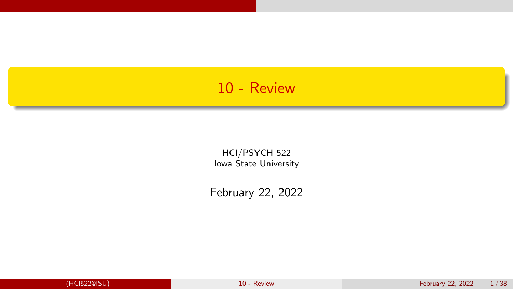### <span id="page-0-0"></span>10 - Review

HCI/PSYCH 522 Iowa State University

February 22, 2022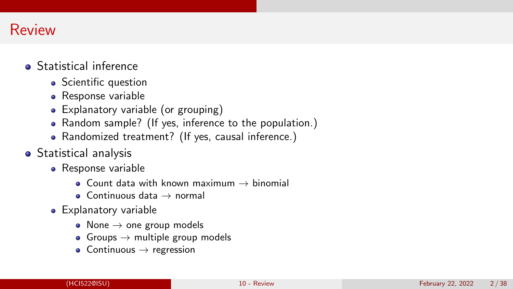# Review

- **•** Statistical inference
	- Scientific question
	- Response variable
	- Explanatory variable (or grouping)
	- Random sample? (If yes, inference to the population.)
	- Randomized treatment? (If yes, causal inference.)
- **•** Statistical analysis
	- Response variable
		- Count data with known maximum  $\rightarrow$  binomial
		- $\bullet$  Continuous data  $\rightarrow$  normal
	- Explanatory variable
		- $\bullet$  None  $\rightarrow$  one group models
		- Groups  $\rightarrow$  multiple group models
		- $\bullet$  Continuous  $\rightarrow$  regression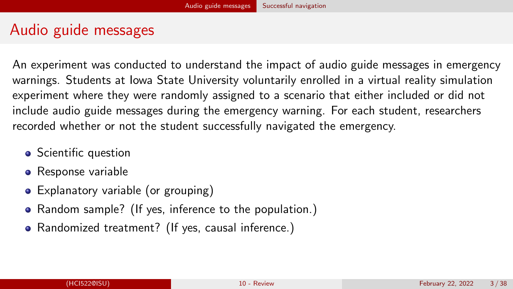# <span id="page-2-0"></span>Audio guide messages

An experiment was conducted to understand the impact of audio guide messages in emergency warnings. Students at Iowa State University voluntarily enrolled in a virtual reality simulation experiment where they were randomly assigned to a scenario that either included or did not include audio guide messages during the emergency warning. For each student, researchers recorded whether or not the student successfully navigated the emergency.

- Scientific question
- Response variable
- Explanatory variable (or grouping)
- Random sample? (If yes, inference to the population.)
- Randomized treatment? (If yes, causal inference.)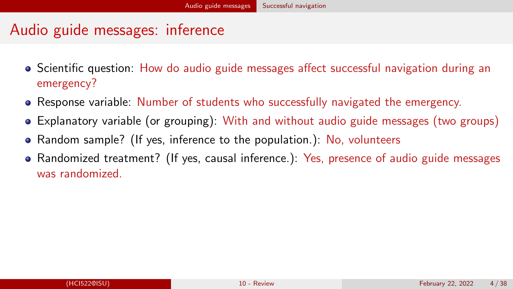# Audio guide messages: inference

- Scientific question: How do audio guide messages affect successful navigation during an emergency?
- Response variable: Number of students who successfully navigated the emergency.
- Explanatory variable (or grouping): With and without audio guide messages (two groups)
- Random sample? (If yes, inference to the population.): No, volunteers
- Randomized treatment? (If yes, causal inference.): Yes, presence of audio guide messages was randomized.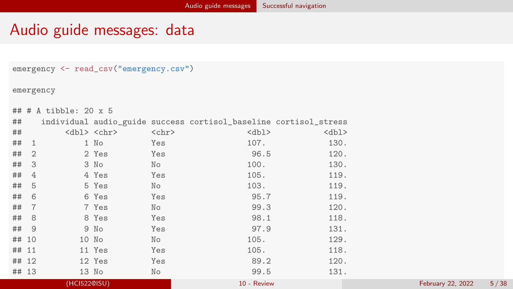### Audio guide messages: data

```
emergency <- read_csv("emergency.csv")
```
emergency

```
## # A tibble: 20 x 5
```

| ##       |          |           |             | individual audio_guide success cortisol_baseline cortisol_stress |                        |
|----------|----------|-----------|-------------|------------------------------------------------------------------|------------------------|
| ##       |          | $db1 chr$ | $<$ chr $>$ | $<$ dbl $>$                                                      | $<$ dbl>               |
| $##$ 1   |          | $1$ No    | Yes         | 107.                                                             | 130.                   |
| ##       |          | 2 Yes     | Yes         | 96.5                                                             | 120.                   |
| $##$ 3   |          | 3 No      | Nο          | 100.                                                             | 130.                   |
| ##       | $\Delta$ | 4 Yes     | Yes         | 105.                                                             | 119.                   |
| $\cdots$ |          |           |             | $\sim$ $\sim$ $\sim$                                             | $\cdot$ $\cdot$ $\sim$ |

|         | (HCI522@ISU) |              | 10 - Review |      | February 22, 2022 | 5/38 |
|---------|--------------|--------------|-------------|------|-------------------|------|
| ## 13   | 13 No        | No           | 99.5        | 131. |                   |      |
| ## 12   | 12 Yes       | Yes          | 89.2        | 120. |                   |      |
| ## 11   | 11 Yes       | Yes          | 105.        | 118. |                   |      |
| ## 10   | 10 No        | No           | 105.        | 129. |                   |      |
| ## 9    | 9 No         | Yes          | 97.9        | 131. |                   |      |
| ## 8    |              | 8 Yes<br>Yes | 98.1        | 118. |                   |      |
| ##      |              | 7 Yes<br>No  | 99.3        | 120. |                   |      |
| ##<br>6 |              | 6 Yes<br>Yes | 95.7        | 119. |                   |      |
| ##<br>5 |              | 5 Yes<br>No  | 103.        | 119. |                   |      |
|         |              |              |             |      |                   |      |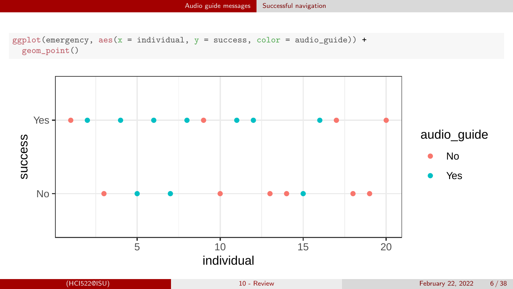```
ggplot(energyency, aes(x = individual, y = success, color = audio_guide)) +geom_point()
```
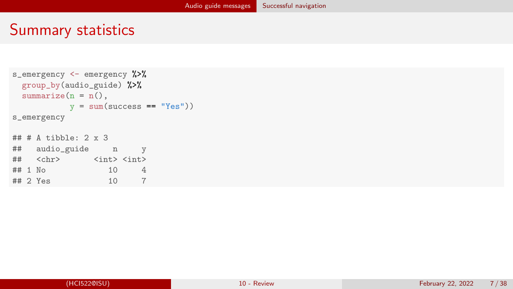## Summary statistics

```
s_emergency <- emergency %>%
  group_by(audio_guide) %>%
 summarize(n = n(),
           y = sum(success == "Yes"))s_emergency
\# \# \# \Lambda tibble: 2 \times 3## audio_guide n y
   <chr> <int><int>
## 1 No 10 4<br>## 2 Yes 10 7
## 2 Yes 10 7
```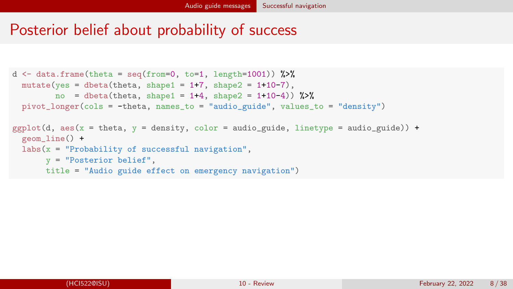### Posterior belief about probability of success

```
d \leftarrow data-frame(theta = seq(from=0, to=1, length=1001))%
  mutate(yes = dbeta(theta, shape1 = 1+7, shape2 = 1+10-7),
          no = dbeta(theta, shape1 = 1+4, shape2 = 1+10-4) %>%
  pivot_longer(cols = -theta, names_to = "audio_guide", values_to = "density")
ggplot(d, \text{aes}(x = \text{theta}, y = \text{density}, \text{color} = \text{audio}_\text{guide}, \text{linetype} = \text{audio}_\text{guide})) +geom_line() +
  \text{labs}(x = \text{''Probability of successful navigation''},y = "Posterior belief",
        title = "Audio guide effect on emergency navigation")
```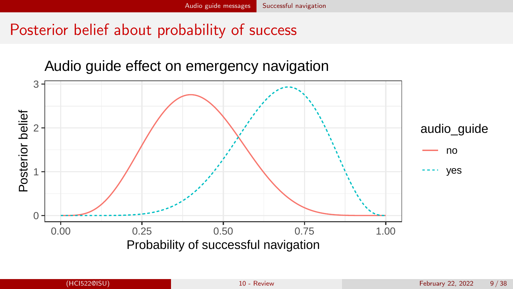# Posterior belief about probability of success

#### Audio guide effect on emergency navigation

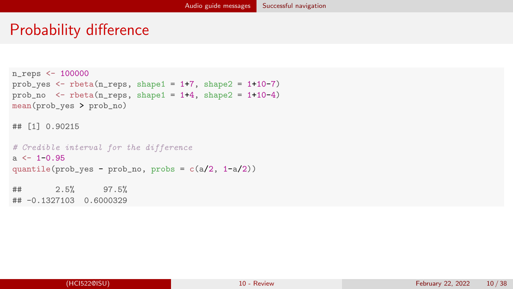## Probability difference

```
n_reps <- 100000
prob_yes \le rbeta(n_reps, shape1 = 1+7, shape2 = 1+10-7)
prob\_no \leq -beta(n\_reps, shape1 = 1+4, shape2 = 1+10-4)mean(prob_yes > prob_no)
## [1] 0.90215
# Credible interval for the difference
a \le -1-0.95quantile(prob\_yes - prob\_no, probs = c(a/2, 1-a/2))
## 2.5% 97.5%
## -0.1327103 0.6000329
```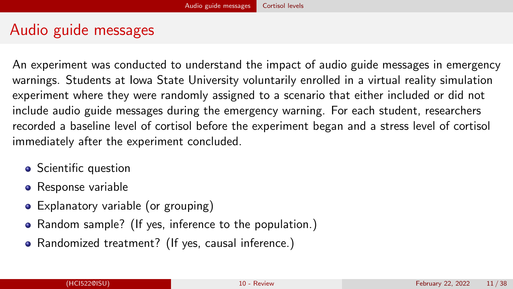# <span id="page-10-0"></span>Audio guide messages

An experiment was conducted to understand the impact of audio guide messages in emergency warnings. Students at Iowa State University voluntarily enrolled in a virtual reality simulation experiment where they were randomly assigned to a scenario that either included or did not include audio guide messages during the emergency warning. For each student, researchers recorded a baseline level of cortisol before the experiment began and a stress level of cortisol immediately after the experiment concluded.

- Scientific question
- Response variable
- Explanatory variable (or grouping)
- Random sample? (If yes, inference to the population.)
- Randomized treatment? (If yes, causal inference.)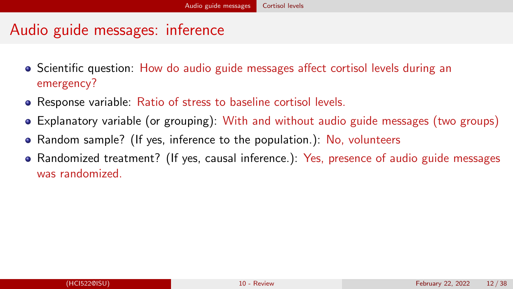# Audio guide messages: inference

- Scientific question: How do audio guide messages affect cortisol levels during an emergency?
- Response variable: Ratio of stress to baseline cortisol levels.
- Explanatory variable (or grouping): With and without audio guide messages (two groups)
- Random sample? (If yes, inference to the population.): No, volunteers
- Randomized treatment? (If yes, causal inference.): Yes, presence of audio guide messages was randomized.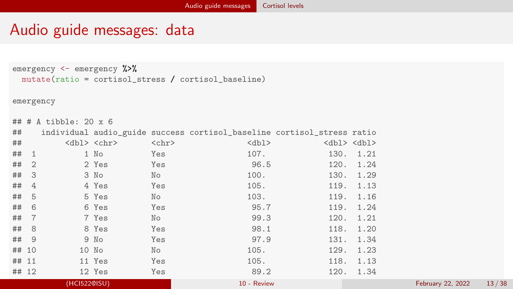# Audio guide messages: data

```
emergency <- emergency %>%
 mutate(ratio = cortisol_stress / cortisol_baseline)
```

```
emergency
```
## # A tibble: 20 x 6 ## individual audio\_guide success cortisol\_baseline cortisol\_stress ratio ## <dbl> <chr> <chr> <dbl> <dbl> <dbl> ## 1 1 No Yes 107. 130. 1.21 ## 2 2 Yes Yes 96.5 120. 1.24 ## 3 3 No No 100. 130. 1.29 ## 4 4 Yes Yes 105. 119. 1.13 ## 5 5 Yes No 103. 119. 1.16 ## 6 6 Yes Yes 95.7 119. 1.24 ## 7 7 Yes No 99.3 120. 1.21 ## 8 8 Yes Yes 98.1 118. 1.20 ## 9 9 No Yes 97.9 131. 1.34 ## 10 10 No No 105. 129. 1.23 ## 11 11 Yes Yes 105. 118. 1.13 ## 12 12 Yes Yes 89.2 120. 1.34 ## 13 13 No No [99.5](#page-0-0) 131. 1.31 (HCI522@ISU) 10 - Review February 22, 2022 13 / 38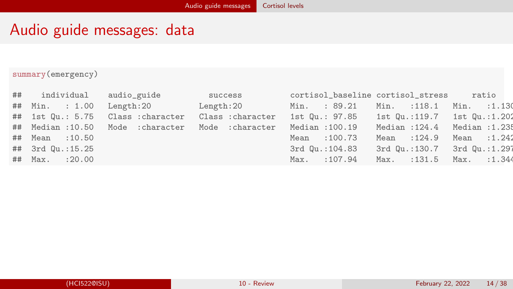# Audio guide messages: data

#### summary(emergency)

| ## individual audio_guide |                                                                                               | success | cortisol_baseline cortisol_stress ratio    |                               |              |
|---------------------------|-----------------------------------------------------------------------------------------------|---------|--------------------------------------------|-------------------------------|--------------|
| ## Min. : 1.00            | Length:20 Length:20                                                                           |         | Min. : 89.21                               | Min. : 118.1                  | Min. : 1.130 |
|                           | ## 1st Qu.: 5.75 Class :character Class :character 1st Qu.: 97.85 1st Qu.:119.7 1st Qu.:1.202 |         |                                            |                               |              |
|                           | ## Median :10.50 Mode :character Mode :character Median :100.19                               |         |                                            | Median : 124.4 Median : 1.235 |              |
| ## Mean :10.50            |                                                                                               |         | Mean : 100.73                              | Mean : 124.9 Mean : 1.242     |              |
| ## 3rd Qu.:15.25          |                                                                                               |         | 3rd Qu.:104.83 3rd Qu.:130.7 3rd Qu.:1.297 |                               |              |
| ## Max. : 20.00           |                                                                                               |         | Max. : 107.94                              | Max. : 131.5 Max. : 1.344     |              |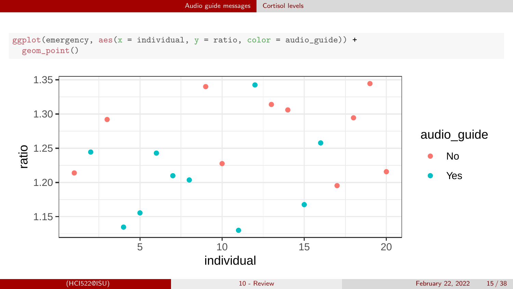```
ggplot(energyency, aes(x = individual, y = ratio, color = audio_guide)) +geom_point()
```
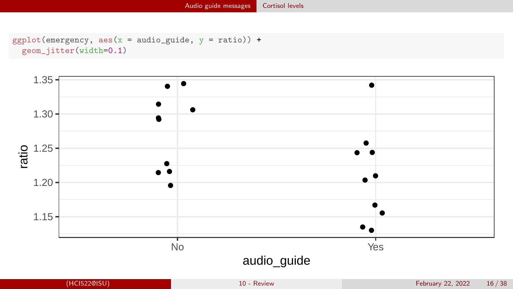```
ggplot(energy, aes(x = audio_guide, y = ratio)) +geom_jitter(width=0.1)
```
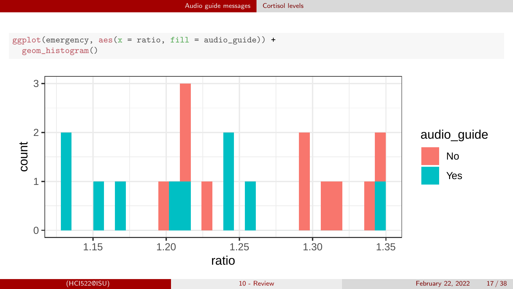```
ggplot(energyency, aes(x = ratio, fill = audio_guide)) +geom_histogram()
```
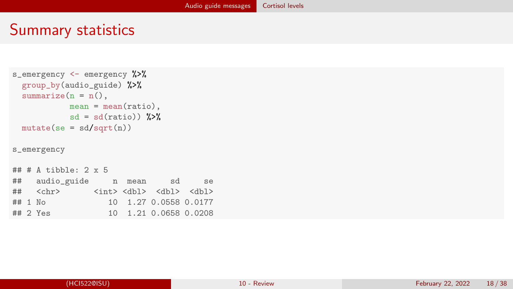### Summary statistics

```
s_emergency <- emergency %>%
 group by(audio guide) %>%
 summarize(n = n(),
          mean = mean(ratio),
          sd = sd(ratio) %>%
 mutate(se = sd/sqrt(n))s_emergency
\# \# \# A tibble: 2 x 5
## audio_guide n mean sd se
## <chr> <int> <dbl> <dbl> <dbl>
## 1 No 1.27 0.0558 0.0177
```
## 2 Yes 10 1.21 0.0658 0.0208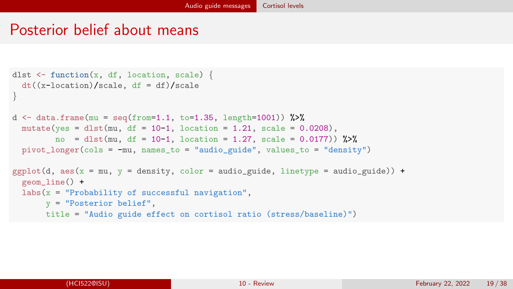### Posterior belief about means

```
dlst \leq function(x, df, location, scale) {
 dt((x-location)/scale, df = df)/scale
}
d <- data.frame(mu = seq(from=1.1, to=1.35, length=1001)) %>%
 mutate(yes = dist(mu, df = 10-1, location = 1.21, scale = 0.0208),no = dlst(mu, df = 10-1, location = 1.27, scale = 0.0177) %>%
 pivot_longer(cols = -mu, names_to = "audio_guide", values_to = "density")
ggplot(d, aes(x = mu, y = density, color = audio\_guide, linetype = audio\_guide)) +geom_line() +
 labs(x = "Probability of successful navigation",y = "Posterior belief",
      title = "Audio guide effect on cortisol ratio (stress/baseline)")
```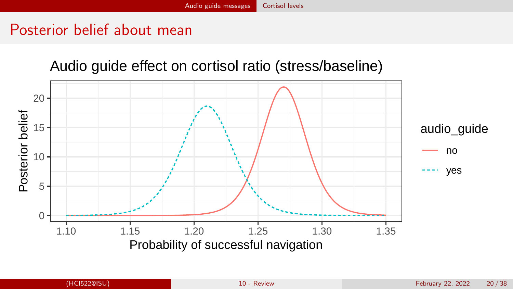# Posterior belief about mean

#### Audio guide effect on cortisol ratio (stress/baseline)

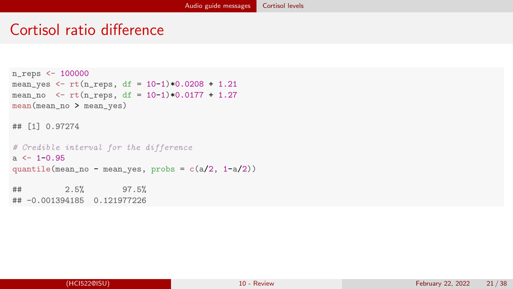### Cortisol ratio difference

```
n_reps <- 100000
mean_yes <- rt(n_{resp}, df = 10-1)*0.0208 + 1.21mean_no \leq rt(n_{r}eps, df = 10-1)*0.0177 + 1.27mean(mean_no > mean_yes)
```
## [1] 0.97274

```
# Credible interval for the difference
a \le -1 - 0.95quantile(mean_no - mean_yes, probs = c(a/2, 1-a/2))
## 2.5% 97.5%
## -0.001394185 0.121977226
```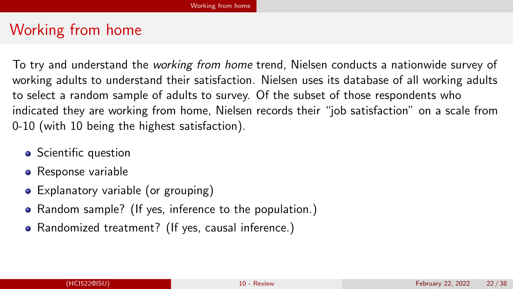# <span id="page-21-0"></span>Working from home

To try and understand the working from home trend, Nielsen conducts a nationwide survey of working adults to understand their satisfaction. Nielsen uses its database of all working adults to select a random sample of adults to survey. Of the subset of those respondents who indicated they are working from home, Nielsen records their "job satisfaction" on a scale from 0-10 (with 10 being the highest satisfaction).

- Scientific question
- Response variable
- Explanatory variable (or grouping)
- Random sample? (If yes, inference to the population.)
- Randomized treatment? (If yes, causal inference.)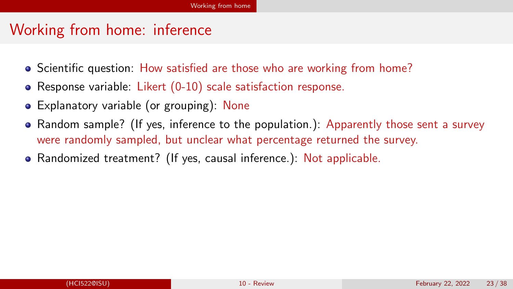# Working from home: inference

- Scientific question: How satisfied are those who are working from home?
- Response variable: Likert (0-10) scale satisfaction response.
- Explanatory variable (or grouping): None
- Random sample? (If yes, inference to the population.): Apparently those sent a survey were randomly sampled, but unclear what percentage returned the survey.
- Randomized treatment? (If yes, causal inference.): Not applicable.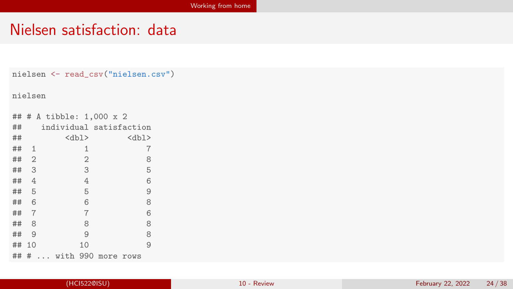# Nielsen satisfaction: data

```
nielsen <- read_csv("nielsen.csv")
```
nielsen

| ## |                | # A tibble: 1,000 x 2   |                |          |   |
|----|----------------|-------------------------|----------------|----------|---|
| ## |                | individual satisfaction |                |          |   |
| ## |                | $<$ dbl>                |                | $<$ dbl> |   |
| ## | 1              |                         | 1              |          | 7 |
| ## | $\overline{2}$ |                         | $\overline{2}$ |          | 8 |
| ## | 3              |                         | 3              |          | 5 |
| ## | 4              |                         | 4              |          | 6 |
| ## | 5              |                         | 5              |          | 9 |
| ## | 6              |                         | 6              |          | 8 |
| ## | $\overline{7}$ |                         | 7              |          | 6 |
| ## | 8              |                         | 8              |          | 8 |
| ## | 9              |                         | 9              |          | 8 |
| ## | 10             |                         | 10             |          | 9 |
| ## | #              | with 990 more rows      |                |          |   |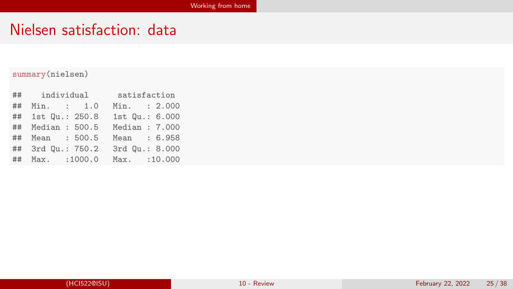# Nielsen satisfaction: data

#### summary(nielsen)

|    | ## individual     | satisfaction   |
|----|-------------------|----------------|
| ## | Min. : 1.0        | Min. : 2.000   |
|    | ## 1st Qu.: 250.8 | 1st Qu.: 6.000 |
|    | ## Median : 500.5 | Median : 7.000 |
|    | ## Mean : 500.5   | Mean : 6.958   |
|    | ## 3rd Qu.: 750.2 | 3rd Qu.: 8.000 |
|    | ## Max. : 1000.0  | Max. : 10.000  |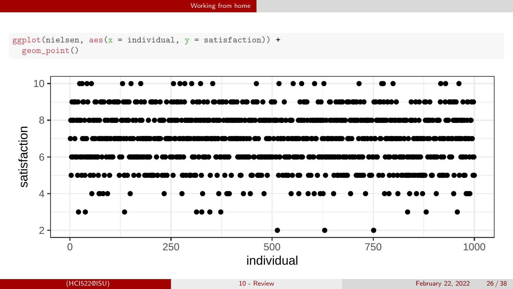```
ggplot(nielsen, aes(x = individual, y = satisfaction)) +geom_point()
```
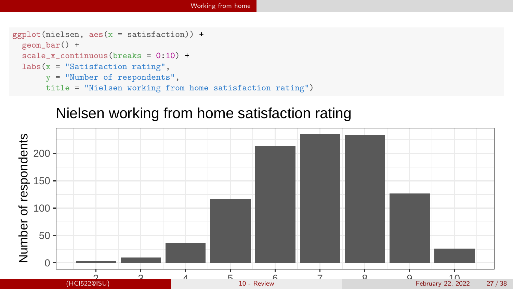```
ggplot(nielsen, aes(x = satisfaction)) +geom_bar() +
  scale x continuous(breaks = 0:10) +
 \text{labs}(x = "Satisfactor rating",y = "Number of respondents",
       title = "Nielsen working from home satisfaction rating")
```
#### Nielsen working from home satisfaction rating

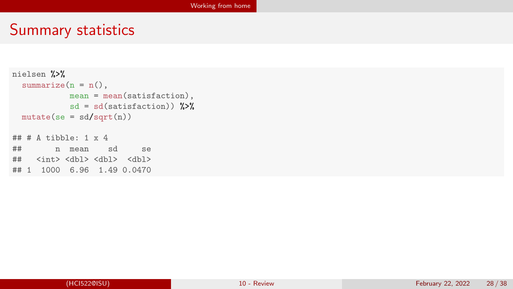# Summary statistics

```
nielsen %>%
  summarize(n = n(),
              mean = mean(satisfactor),
              sd = sd(satisfactor)) %>%
  mutate(se = sd/sqrt(n))\# \# \# \Lambda tibble: 1 x 4
## n mean sd se
   \langle \text{int} \rangle \langle \text{dbl} \rangle \langle \text{dbl} \rangle## 1 1000 6.96 1.49 0.0470
```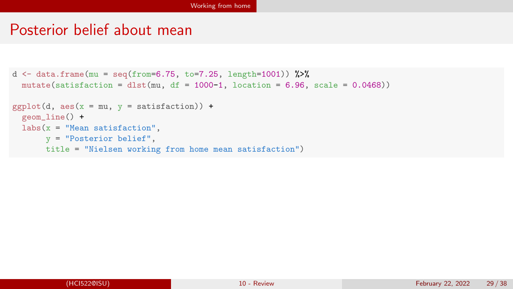#### Posterior belief about mean

```
d <- data.frame(mu = seq(from=6.75, to=7.25, length=1001)) %>%
 mutate(satisfaction = dlst(mu, df = 1000-1, location = 6.96, scale = 0.0468))
ggplot(d, aes(x = mu, y = satisfaction)) +geom_line() +
 labs(x = "Mean satisfaction",y = "Posterior belief",
      title = "Nielsen working from home mean satisfaction")
```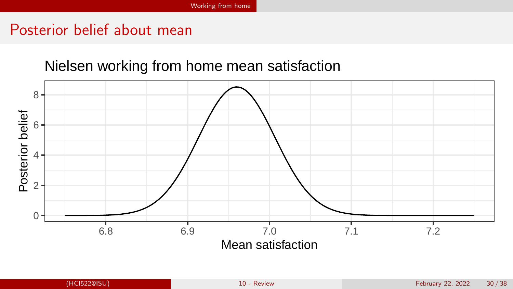# Posterior belief about mean

#### Nielsen working from home mean satisfaction

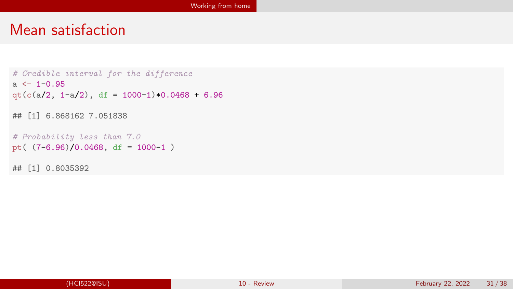#### Mean satisfaction

```
# Credible interval for the difference
a \leftarrow 1 - 0.95qt(c(a/2, 1-a/2), df = 1000-1)*0.0468 + 6.96## [1] 6.868162 7.051838
# Probability less than 7.0
pt( (7-6.96)/0.0468, df = 1000-1)
```
## [1] 0.8035392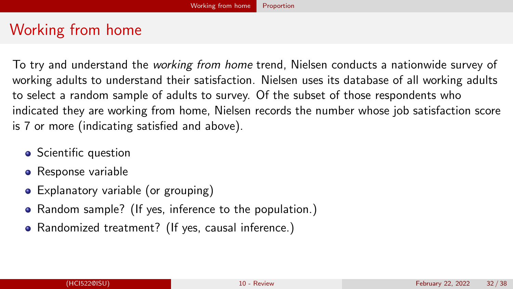# <span id="page-31-0"></span>Working from home

To try and understand the working from home trend, Nielsen conducts a nationwide survey of working adults to understand their satisfaction. Nielsen uses its database of all working adults to select a random sample of adults to survey. Of the subset of those respondents who indicated they are working from home, Nielsen records the number whose job satisfaction score is 7 or more (indicating satisfied and above).

- Scientific question
- Response variable
- Explanatory variable (or grouping)
- Random sample? (If yes, inference to the population.)
- Randomized treatment? (If yes, causal inference.)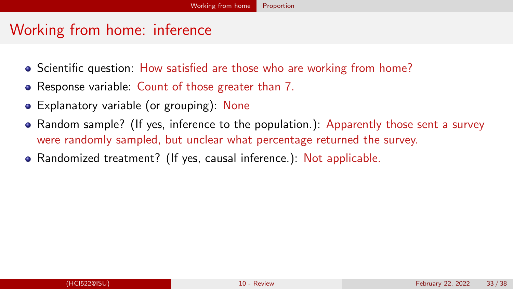# Working from home: inference

- Scientific question: How satisfied are those who are working from home?
- Response variable: Count of those greater than 7.
- Explanatory variable (or grouping): None
- Random sample? (If yes, inference to the population.): Apparently those sent a survey were randomly sampled, but unclear what percentage returned the survey.
- Randomized treatment? (If yes, causal inference.): Not applicable.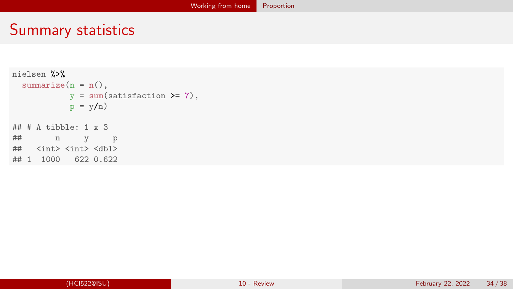# Summary statistics

```
nielsen %>%
 summarize(n = n(),
          y = sum(satisfactor) = 7,
          p = y/n\# \# A tibble: 1 x 3
## n y p
## <int> <int> <dbl>
## 1 1000 622 0.622
```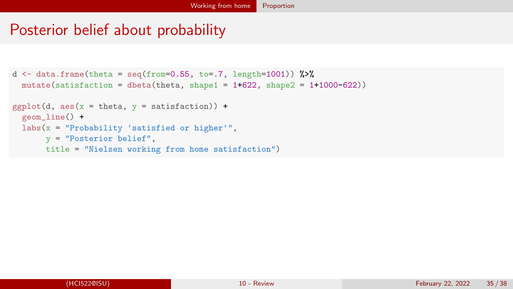# Posterior belief about probability

```
d \leq data.frame(theta = seq(from=0.55, to=.7, length=1001)) %>%
  mutate(satisfaction = dbeta(theta, shape1 = 1+622, shape2 = 1+1000-622))
ggplot(d, aes(x = theta, y = satisfaction)) +geom_line() +
  \text{labs}(x = "Probability \text{ 'satisfied or higher''}),y = "Posterior belief",
       title = "Nielsen working from home satisfaction")
```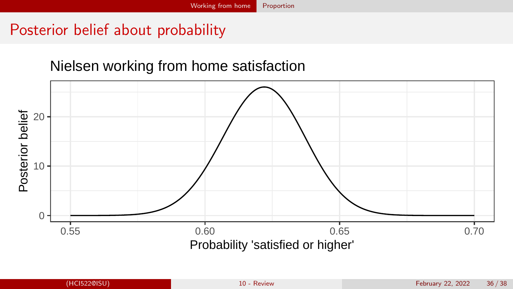# Posterior belief about probability

#### Nielsen working from home satisfaction

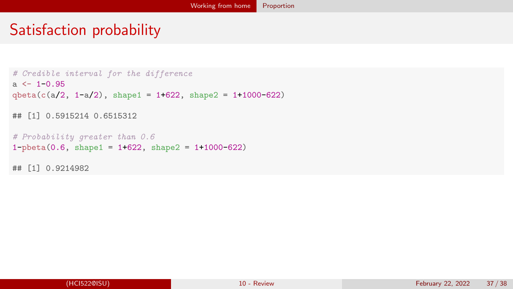# Satisfaction probability

```
# Credible interval for the difference
a \le -1 - 0.95qbeta(c(a/2, 1-a/2), shape1 = 1+622, shape2 = 1+1000-622)## [1] 0.5915214 0.6515312
# Probability greater than 0.6
1-pbeta(0.6, shape1 = 1+622, shape2 = 1+1000-622)
## [1] 0.9214982
```